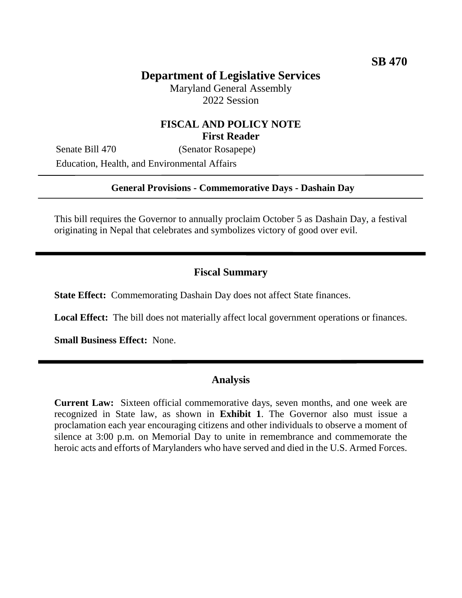# **Department of Legislative Services**

Maryland General Assembly 2022 Session

## **FISCAL AND POLICY NOTE First Reader**

Senate Bill 470 (Senator Rosapepe) Education, Health, and Environmental Affairs

### **General Provisions - Commemorative Days - Dashain Day**

This bill requires the Governor to annually proclaim October 5 as Dashain Day, a festival originating in Nepal that celebrates and symbolizes victory of good over evil.

#### **Fiscal Summary**

**State Effect:** Commemorating Dashain Day does not affect State finances.

**Local Effect:** The bill does not materially affect local government operations or finances.

**Small Business Effect:** None.

### **Analysis**

**Current Law:** Sixteen official commemorative days, seven months, and one week are recognized in State law, as shown in **Exhibit 1**. The Governor also must issue a proclamation each year encouraging citizens and other individuals to observe a moment of silence at 3:00 p.m. on Memorial Day to unite in remembrance and commemorate the heroic acts and efforts of Marylanders who have served and died in the U.S. Armed Forces.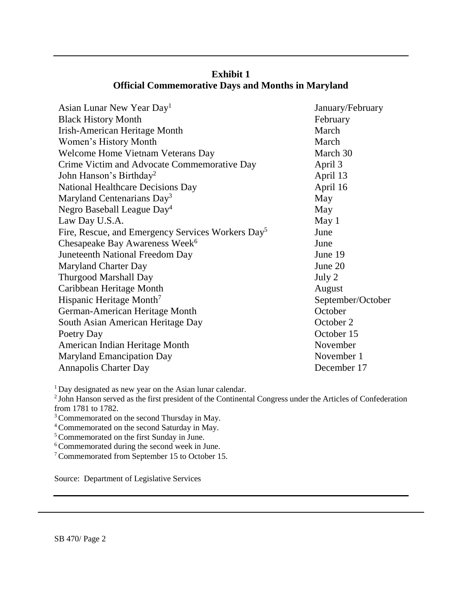| Asian Lunar New Year Day <sup>1</sup>                         | January/February  |
|---------------------------------------------------------------|-------------------|
| <b>Black History Month</b>                                    | February          |
| Irish-American Heritage Month                                 | March             |
| Women's History Month                                         | March             |
| Welcome Home Vietnam Veterans Day                             | March 30          |
| Crime Victim and Advocate Commemorative Day                   | April 3           |
| John Hanson's Birthday <sup>2</sup>                           | April 13          |
| <b>National Healthcare Decisions Day</b>                      | April 16          |
| Maryland Centenarians Day <sup>3</sup>                        | May               |
| Negro Baseball League Day <sup>4</sup>                        | May               |
| Law Day U.S.A.                                                | May 1             |
| Fire, Rescue, and Emergency Services Workers Day <sup>5</sup> | June              |
| Chesapeake Bay Awareness Week <sup>6</sup>                    | June              |
| Juneteenth National Freedom Day                               | June 19           |
| <b>Maryland Charter Day</b>                                   | June 20           |
| Thurgood Marshall Day                                         | July 2            |
| Caribbean Heritage Month                                      | August            |
| Hispanic Heritage Month <sup>7</sup>                          | September/October |
| German-American Heritage Month                                | October           |
| South Asian American Heritage Day                             | October 2         |
| Poetry Day                                                    | October 15        |
| American Indian Heritage Month                                | November          |
| <b>Maryland Emancipation Day</b>                              | November 1        |
| <b>Annapolis Charter Day</b>                                  | December 17       |

## **Exhibit 1 Official Commemorative Days and Months in Maryland**

<sup>1</sup>Day designated as new year on the Asian lunar calendar.

<sup>2</sup>John Hanson served as the first president of the Continental Congress under the Articles of Confederation from 1781 to 1782.

<sup>3</sup> Commemorated on the second Thursday in May.

<sup>4</sup>Commemorated on the second Saturday in May.

<sup>5</sup> Commemorated on the first Sunday in June.

<sup>6</sup> Commemorated during the second week in June.

<sup>7</sup>Commemorated from September 15 to October 15.

Source: Department of Legislative Services